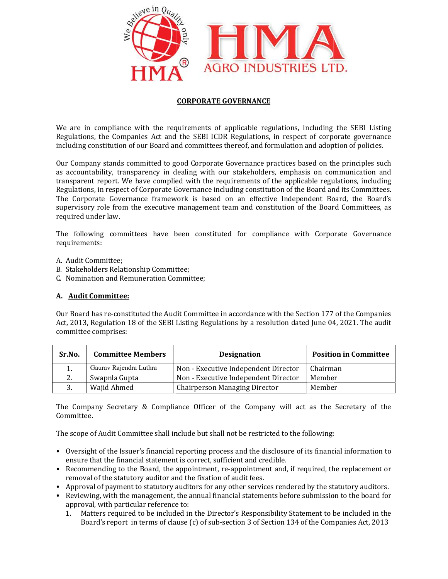

## CORPORATE GOVERNANCE

We are in compliance with the requirements of applicable regulations, including the SEBI Listing Regulations, the Companies Act and the SEBI ICDR Regulations, in respect of corporate governance including constitution of our Board and committees thereof, and formulation and adoption of policies. We are in compliance with the requirements of applicable regulations, including the SEBI Listing<br>Regulations, the Companies Act and the SEBI ICDR Regulations, in respect of corporate governance<br>including constitution of ou

Our Company stands committed to good Corporate Governance practices based on the principles such as accountability, transparency in dealing with our stakeholders, emphasis on communication and transparent report. We have complied with the requirements of the applicable regulations, including Regulations, in respect of Corporate Governance including constitution of the Board and its Committees. The Corporate Governance framework is based on an effective Independent Board, the Board's supervisory role from the executive management team and constitution of the Board Committees, as required under law. Company stands committed to good Corporate Governance practices based on the principles such<br>ccountability, transparency in dealing with our stakeholders, emphasis on communication and<br>sparent report. We have complied with transparent report. We have complied with the requirements of the applicable regulations, including<br>Regulations, in respect of Corporate Governance including constitution of the Board and its Committees.<br>The Corporate Gove

The following committees have been constituted for compliance with Corporate Governance requirements: from the executive management team and constitution of the Board Committees, as<br>w.<br>committees have been constituted for compliance with Corporate Governance<br>ee;<br>elationship Committee;<br>d Remuneration Committee;<br>ttee:<br>consti

- A. Audit Committee;
- B. Stakeholders Relationship Committee;
- C. Nomination and Remuneration Committee;

## A. Audit Committee:

Our Board has re-constituted the Audit Committee in accordance with the Section 177 of the Companies Act, 2013, Regulation 18 of the SEBI Listing Regulations by a resolution dated June 04, 2021. The audit committee comprises:

| Sr.No.     | <b>Committee Members</b> | <b>Designation</b>                                                                                                                                                                                                                                                                                                                                                                                                                                                                                                                                                                | <b>Position in Committee</b> |
|------------|--------------------------|-----------------------------------------------------------------------------------------------------------------------------------------------------------------------------------------------------------------------------------------------------------------------------------------------------------------------------------------------------------------------------------------------------------------------------------------------------------------------------------------------------------------------------------------------------------------------------------|------------------------------|
| 1.         | Gaurav Rajendra Luthra   | Non - Executive Independent Director                                                                                                                                                                                                                                                                                                                                                                                                                                                                                                                                              | Chairman                     |
| 2.         | Swapnla Gupta            | Non - Executive Independent Director                                                                                                                                                                                                                                                                                                                                                                                                                                                                                                                                              | Member                       |
| 3.         | Wajid Ahmed              | <b>Chairperson Managing Director</b>                                                                                                                                                                                                                                                                                                                                                                                                                                                                                                                                              | Member                       |
| Committee. |                          | The scope of Audit Committee shall include but shall not be restricted to the following:                                                                                                                                                                                                                                                                                                                                                                                                                                                                                          |                              |
|            |                          | • Oversight of the Issuer's financial reporting process and the disclosure of its financial information to<br>ensure that the financial statement is correct, sufficient and credible.<br>• Recommending to the Board, the appointment, re-appointment and, if required, the replacement or<br>removal of the statutory auditor and the fixation of audit fees.<br>• Approval of payment to statutory auditors for any other services rendered by the statutory auditors.<br>• Reviewing, with the management, the annual financial statements before submission to the board for |                              |

- Oversight of the Issuer's financial reporting process and the disclosure of its financial information to ensure that the financial statement is correct, sufficient and credible. ensure that the financial statement is correct, sufficient and credible.
- Recommending to the Board, the appointment, re-appointment and, if required, the replacement or removal of the statutory auditor and the fixation of audit fees.
- Approval of payment to statutory auditors for any other services rendered by the statutory auditors.
- Reviewing, with the management, the annual financial statements before submission to the board for approval, with particular reference to:
	- 1. Matters required to be included in the Director's Responsibility Statement to be included in the oval, with particular reference to:<br>Matters required to be included in the Director's Responsibility Statement to be included in the<br>Board's report in terms of clause (c) of sub-section 3 of Section 134 of the Companies A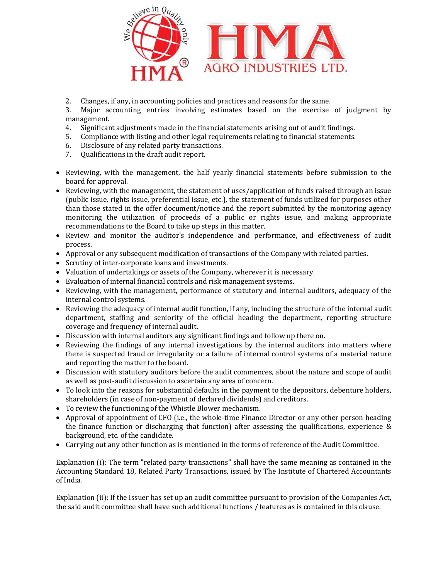

2. Changes, if any, in accounting policies and practices and reasons for the same.

3. Major accounting entries involving estimates based on the exercise of judgment by management. Changes, if any, in accounting policies and practices and reasons for the same.<br>Major accounting entries involving estimates based on the exercise of jude<br>significant adjustments made in the financial statements arising ou

- 4. Significant adjustments made in the financial statements arising out of audit findings.
- 5. Compliance with listing and other legal requirements relating to financial statements.
- 6. Disclosure of any related party transactions.
- 7. Qualifications in the draft audit report.
- Reviewing, with the management, the half yearly financial statements before submission to the board for approval.
- Reviewing, with the management, the statement of uses/application of funds raised through an issue (public issue, rights issue, preferential issue, etc.), the statement of funds utilized for purposes other than those stated in the offer document/notice and the report submitted by the monitoring agency monitoring the utilization of proceeds of a public or rights issue, and making appropriate recommendations to the Board to take up steps in this matter. Reviewing, with the management, the half yearly financial statements before submission to the board for approval.<br>Reviewing, with the management, the statement of uses/application of funds raised through an issue (public i Major accounting entires involving estimates based on the exercise of judgment by<br>digenerate, adjustments mode in the financial statements arising out of audit modes.<br>Compleme well histing and other legal requirements rela • Reviewing, with the management, the attatement of uses/application of funds raised through the points issue, perferred in Stee, tect), the statement of funds utilized for purpose than those stated in the offer document/
- Review and monitor the auditor's independence and performance, and effectiveness of audit process.
- Approval or any subsequent modification of transactions of the Company with related parties.
- Scrutiny of inter-corporate loans and investments.
- Valuation of undertakings or assets of the Company, wherever it is necessary.
- Evaluation of internal financial controls and risk management systems.
- Reviewing, with the management, performance of statutory and internal auditors, adequacy of the internal control systems. Reviewing, with the management, performance of statutory and internal auditors, adequacy of the<br>internal control systems.<br>Reviewing the adequacy of internal audit function, if any, including the structure of the internal a
- Reviewing the adequacy of internal audit function, if any, including the structure of the internal audit coverage and frequency of internal audit.
- Discussion with internal auditors any significant findings and follow up there on.
- Reviewing the findings of any internal investigations by the internal auditors into matters where there is suspected fraud or irregularity or a failure of internal control systems of a material nature and reporting the matter to the board. the findings of any internal investigation<br>spected fraud or irregularity or a failure<br>ing the matter to the board.
- Discussion with statutory auditors before the audit commences, about the nature and scope of audit as well as post-audit discussion to ascertain any area of concern.
- To look into the reasons for substantial defaults in the payment to the depositors, debenture holders, shareholders (in case of non-payment of declared dividends) and creditors.
- To review the functioning of the Whistle Blower mechanism.
- Approval of appointment of CFO (i.e., the whole-time Finance Director or any other person heading the finance function or discharging that function) after assessing the qualifications, experience & background, etc. of the candidate.
- Carrying out any other function as is mentioned in the terms of reference of the Audit Committee.

Explanation (i): The term "related party transactions" shall have the same meaning as contained in the Accounting Standard 18, Related Party Transactions, issued by The Institute of Chartered Accountants of India. the finance function or discharging that function) after assessing the qualifications, experience &<br>background, etc. of the candidate.<br>Carrying out any other function as is mentioned in the terms of reference of the Audit

Explanation (ii): If the Issuer has set up an audit committee pursuant to provision of the Companies Act. the said audit committee shall have such additional functions / features as is contained in this clause.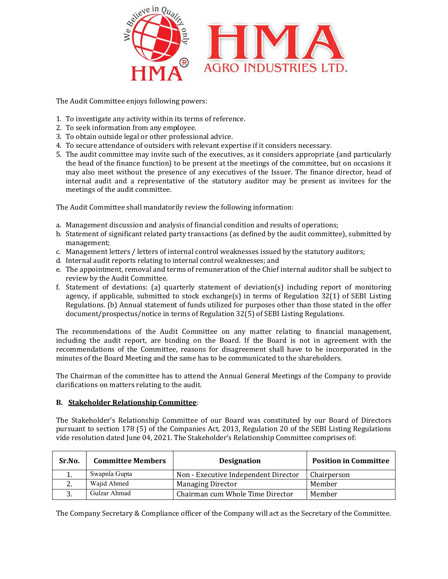

The Audit Committee enjoys following powers:

- 1. To investigate any activity within its terms of reference.
- 2. To seek information from any employee.
- 3. To obtain outside legal or other professional advice.
- 4. To secure attendance of outsiders with relevant expertise if it considers necessary.
- 2. To seek information from any employee.<br>3. To obtain outside legal or other professional advice.<br>4. To secure attendance of outsiders with relevant expertise if it considers necessary.<br>5. The audit committee may invi the head of the finance function) to be present at the meetings of the committee, but on occasions it may also meet without the presence of any executives of the Issuer. The finance director, head of internal audit and a representative of the statutory auditor may be present as invitees for the meetings of the audit committee. the head of the finance function) to be present at the meetings of the committee, but on occasions it<br>may also meet without the presence of any executives of the Issuer. The finance director, head of<br>internal audit and a r committee may invite such of the executives, as it considers appropriate<br>of the finance function) to be present at the meetings of the committee, bu<br>meet without the presence of any executives of the Issuer. The finance<br>uu

The Audit Committee shall mandatorily review the following information:

- a. Management discussion and analysis of financial condition and results
- b. Statement of significant related party transactions (as defined by the audit committee), submitted by management;
- c. Management letters / letters of internal control weaknesses issued by the statutory auditors;
- d. Internal audit reports relating to internal control weaknesses; and
- e. The appointment, removal and terms of remuneration of the Chief internal auditor shall be subject to review by the Audit Committee. ement of significant related party transactions (as defined by the audit committee), submitted by<br>agement;<br>agement letters / letters of internal control weaknesses issued by the statutory auditors;<br>rnal audit reports relat
- f. Statement of deviations: (a) quarterly statement of deviation(s) including report of monitoring agency, if applicable, submitted to stock exchange(s) in terms of Regulation 32(1) of SEBI Listing Regulations. (b) Annual statement of funds utilized for purposes other than those stated in the offer document/prospectus/notice in terms of Regulation 32(5) of SEBI Listing Regulations. Statement of significant related party transactions (as defined by the audit committee), submitted by<br>management;<br>Management letters / letters of internal control weaknesses issued by the statutory auditors;<br>Internal audit

The recommendations of the Audit Committee on any matter relating to financial management, including the audit report, are binding on the Board. If the Board is not in agreement with the recommendations of the Committee, reasons for disagreement shall have to be incorporated in the minutes of the Board Meeting and the same has to be communicated to the shareholders. nmendations of the Audit Committee on any matter relating to financial management<br>the audit report, are binding on the Board. If the Board is not in agreement with the<br>dations of the Committee, reasons for disagreement sha agency, if applicable, submitted to stock exchange(s) in terms of Regulation 32(1) of SEBI Listing<br>Regulations. (b) Annual statement of funds utilized for purposes other than those stated in the offer<br>document/prospectus/n

The Chairman of the committee has to attend the Annual General Meetings of the Company to provid The Chairman of the committee has to attend the Annual Geredarifications on matters relating to the audit.

## B. Stakeholder Relationship Committee:

|        |                          | The Stakeholder's Relationship Committee of our Board was constituted by our Board of Directors<br>pursuant to section 178 (5) of the Companies Act, 2013, Regulation 20 of the SEBI Listing Regulations<br>vide resolution dated June 04, 2021. The Stakeholder's Relationship Committee comprises of: |                              |
|--------|--------------------------|---------------------------------------------------------------------------------------------------------------------------------------------------------------------------------------------------------------------------------------------------------------------------------------------------------|------------------------------|
| Sr.No. | <b>Committee Members</b> | <b>Designation</b>                                                                                                                                                                                                                                                                                      | <b>Position in Committee</b> |
|        | Swapnla Gupta            | Non - Executive Independent Director                                                                                                                                                                                                                                                                    | Chairperson                  |
| 2.     | Wajid Ahmed              | <b>Managing Director</b>                                                                                                                                                                                                                                                                                | Member                       |
| 3.     | Gulzar Ahmad             | Chairman cum Whole Time Director                                                                                                                                                                                                                                                                        | Member                       |
|        |                          | The Company Secretary & Compliance officer of the Company will act as the Secretary of the Committee.                                                                                                                                                                                                   |                              |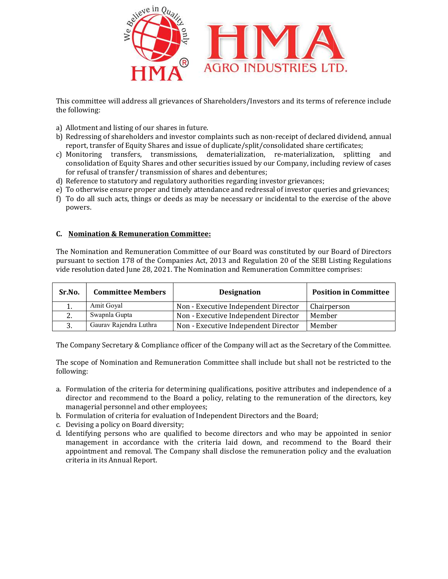

This committee will address all grievances of Shareholders/Investors and its terms of reference include the following:

- a) Allotment and listing of our shares in future.
- a) Allotment and listing of our shares in future.<br>b) Redressing of shareholders and investor complaints such as non-receipt of declared dividend, annual report, transfer of Equity Shares and issue of duplicate/split/consolidated share certificates;
- report, transfer of Equity Shares and issue of duplicate/split/consolidated share certificates;<br>c) Monitoring transfers, transmissions, dematerialization, re-materialization, splitting and consolidation of Equity Shares and other securities issued by our Company, including review of cases for refusal of transfer/ transmission of shares and debentures; ion of Equity Shares and other securities issued by our Company, is<br>of transfer/transmission of shares and debentures;<br>to statutory and regulatory authorities regarding investor grievane<br>ise ensure proper and timely attend
- d) Reference to statutory and regulatory authorities regarding investor grievances;
- e) To otherwise ensure proper and timely attendance and redressal of investor queries and grievances;
- f) To do all such acts, things or deeds as may be necessary or incidental to the exercise of the above powers.

## C. Nomination & Remuneration Committee: Nomination

| the following: |                                                                                              | This committee will address all grievances of Shareholders/Investors and its terms of reference include                                                                                                                                                                                                                                                                                                                                                                                                                                                                                                                                                                                                                                                                                   |                              |
|----------------|----------------------------------------------------------------------------------------------|-------------------------------------------------------------------------------------------------------------------------------------------------------------------------------------------------------------------------------------------------------------------------------------------------------------------------------------------------------------------------------------------------------------------------------------------------------------------------------------------------------------------------------------------------------------------------------------------------------------------------------------------------------------------------------------------------------------------------------------------------------------------------------------------|------------------------------|
| powers.        | a) Allotment and listing of our shares in future.<br>C. Nomination & Remuneration Committee: | b) Redressing of shareholders and investor complaints such as non-receipt of declared dividend, annual<br>report, transfer of Equity Shares and issue of duplicate/split/consolidated share certificates;<br>c) Monitoring transfers, transmissions, dematerialization, re-materialization, splitting<br>consolidation of Equity Shares and other securities issued by our Company, including review of cases<br>for refusal of transfer/transmission of shares and debentures;<br>d) Reference to statutory and regulatory authorities regarding investor grievances;<br>e) To otherwise ensure proper and timely attendance and redressal of investor queries and grievances;<br>f) To do all such acts, things or deeds as may be necessary or incidental to the exercise of the above | and                          |
|                |                                                                                              | The Nomination and Remuneration Committee of our Board was constituted by our Board of Directors<br>pursuant to section 178 of the Companies Act, 2013 and Regulation 20 of the SEBI Listing Regulations<br>vide resolution dated June 28, 2021. The Nomination and Remuneration Committee comprises:                                                                                                                                                                                                                                                                                                                                                                                                                                                                                     |                              |
| Sr.No.         | <b>Committee Members</b>                                                                     | <b>Designation</b>                                                                                                                                                                                                                                                                                                                                                                                                                                                                                                                                                                                                                                                                                                                                                                        | <b>Position in Committee</b> |
| 1.             | Amit Goyal                                                                                   | Non - Executive Independent Director                                                                                                                                                                                                                                                                                                                                                                                                                                                                                                                                                                                                                                                                                                                                                      | Chairperson                  |
| 2.             | Swapnla Gupta                                                                                | Non - Executive Independent Director                                                                                                                                                                                                                                                                                                                                                                                                                                                                                                                                                                                                                                                                                                                                                      | Member                       |
| 3.             | Gaurav Rajendra Luthra                                                                       | Non - Executive Independent Director                                                                                                                                                                                                                                                                                                                                                                                                                                                                                                                                                                                                                                                                                                                                                      | Member                       |
| following:     |                                                                                              | The Company Secretary & Compliance officer of the Company will act as the Secretary of the Committee.<br>The scope of Nomination and Remuneration Committee shall include but shall not be restricted to the<br>a. Formulation of the criteria for determining qualifications, positive attributes and independence of a<br>director and recommend to the Board a policy, relating to the remuneration of the directors, key                                                                                                                                                                                                                                                                                                                                                              |                              |
|                | managerial personnel and other employees;                                                    |                                                                                                                                                                                                                                                                                                                                                                                                                                                                                                                                                                                                                                                                                                                                                                                           |                              |
|                |                                                                                              | b. Formulation of criteria for evaluation of Independent Directors and the Board;                                                                                                                                                                                                                                                                                                                                                                                                                                                                                                                                                                                                                                                                                                         |                              |
|                | c. Devising a policy on Board diversity;                                                     |                                                                                                                                                                                                                                                                                                                                                                                                                                                                                                                                                                                                                                                                                                                                                                                           |                              |
|                |                                                                                              | d. Identifying persons who are qualified to become directors and who may be appointed in senior<br>management in accordance with the criteria laid down, and recommend to the Board their<br>appointment and removal. The Company shall disclose the remuneration policy and the evaluation                                                                                                                                                                                                                                                                                                                                                                                                                                                                                               |                              |

- a. Formulation of the criteria for determining qualifications, positive attributes and independence of a director and recommend to the Board a policy, relating to the remuneration of the directors, key managerial personnel and other employees;
- b. Formulation of criteria for evaluation of Independent Directors and the Board;
- c. Devising a policy on Board diversity;
- c. Devising a policy on Board diversity;<br>d. Identifying persons who are qualified to become directors and who may be appointed in senior management in accordance with the criteria laid down, and recommend to the Board their appointment and removal. The Company shall disclose the remuneration policy and the evaluation criteria in its Annual Report.